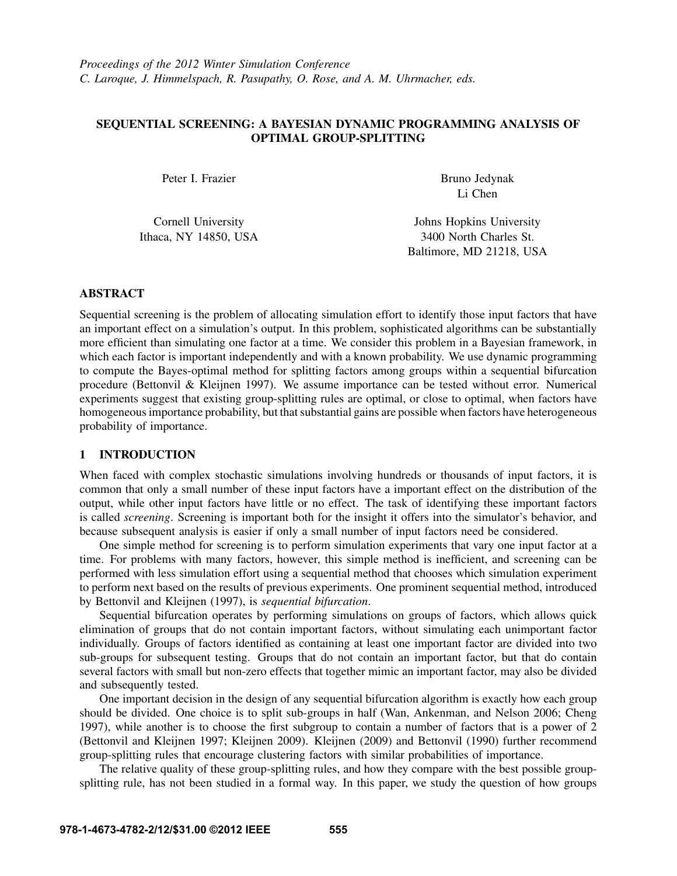# SEQUENTIAL SCREENING: A BAYESIAN DYNAMIC PROGRAMMING ANALYSIS OF OPTIMAL GROUP-SPLITTING

Peter I. Frazier

Cornell University Ithaca, NY 14850, USA Bruno Jedynak Li Chen

Johns Hopkins University 3400 North Charles St. Baltimore, MD 21218, USA

# ABSTRACT

Sequential screening is the problem of allocating simulation effort to identify those input factors that have an important effect on a simulation's output. In this problem, sophisticated algorithms can be substantially more efficient than simulating one factor at a time. We consider this problem in a Bayesian framework, in which each factor is important independently and with a known probability. We use dynamic programming to compute the Bayes-optimal method for splitting factors among groups within a sequential bifurcation procedure (Bettonvil & Kleijnen 1997). We assume importance can be tested without error. Numerical experiments suggest that existing group-splitting rules are optimal, or close to optimal, when factors have homogeneous importance probability, but that substantial gains are possible when factors have heterogeneous probability of importance.

# 1 INTRODUCTION

When faced with complex stochastic simulations involving hundreds or thousands of input factors, it is common that only a small number of these input factors have a important effect on the distribution of the output, while other input factors have little or no effect. The task of identifying these important factors is called *screening*. Screening is important both for the insight it offers into the simulator's behavior, and because subsequent analysis is easier if only a small number of input factors need be considered.

One simple method for screening is to perform simulation experiments that vary one input factor at a time. For problems with many factors, however, this simple method is inefficient, and screening can be performed with less simulation effort using a sequential method that chooses which simulation experiment to perform next based on the results of previous experiments. One prominent sequential method, introduced by Bettonvil and Kleijnen (1997), is *sequential bifurcation*.

Sequential bifurcation operates by performing simulations on groups of factors, which allows quick elimination of groups that do not contain important factors, without simulating each unimportant factor individually. Groups of factors identified as containing at least one important factor are divided into two sub-groups for subsequent testing. Groups that do not contain an important factor, but that do contain several factors with small but non-zero effects that together mimic an important factor, may also be divided and subsequently tested.

One important decision in the design of any sequential bifurcation algorithm is exactly how each group should be divided. One choice is to split sub-groups in half (Wan, Ankenman, and Nelson 2006; Cheng 1997), while another is to choose the first subgroup to contain a number of factors that is a power of 2 (Bettonvil and Kleijnen 1997; Kleijnen 2009). Kleijnen (2009) and Bettonvil (1990) further recommend group-splitting rules that encourage clustering factors with similar probabilities of importance.

The relative quality of these group-splitting rules, and how they compare with the best possible groupsplitting rule, has not been studied in a formal way. In this paper, we study the question of how groups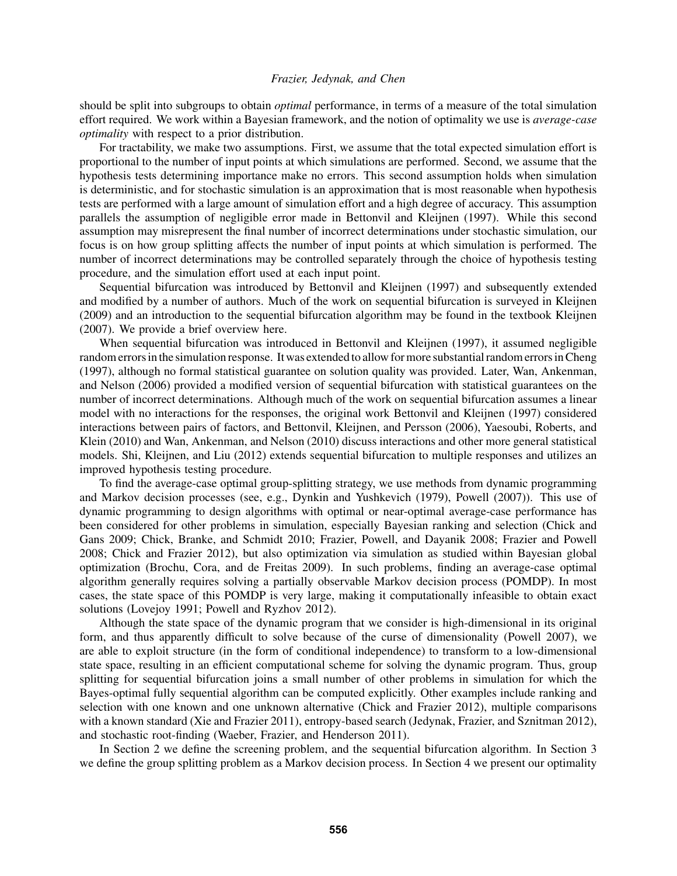should be split into subgroups to obtain *optimal* performance, in terms of a measure of the total simulation effort required. We work within a Bayesian framework, and the notion of optimality we use is *average-case optimality* with respect to a prior distribution.

For tractability, we make two assumptions. First, we assume that the total expected simulation effort is proportional to the number of input points at which simulations are performed. Second, we assume that the hypothesis tests determining importance make no errors. This second assumption holds when simulation is deterministic, and for stochastic simulation is an approximation that is most reasonable when hypothesis tests are performed with a large amount of simulation effort and a high degree of accuracy. This assumption parallels the assumption of negligible error made in Bettonvil and Kleijnen (1997). While this second assumption may misrepresent the final number of incorrect determinations under stochastic simulation, our focus is on how group splitting affects the number of input points at which simulation is performed. The number of incorrect determinations may be controlled separately through the choice of hypothesis testing procedure, and the simulation effort used at each input point.

Sequential bifurcation was introduced by Bettonvil and Kleijnen (1997) and subsequently extended and modified by a number of authors. Much of the work on sequential bifurcation is surveyed in Kleijnen (2009) and an introduction to the sequential bifurcation algorithm may be found in the textbook Kleijnen (2007). We provide a brief overview here.

When sequential bifurcation was introduced in Bettonvil and Kleijnen (1997), it assumed negligible random errors inthe simulation response. It was extended to allow for more substantial random errors inCheng (1997), although no formal statistical guarantee on solution quality was provided. Later, Wan, Ankenman, and Nelson (2006) provided a modified version of sequential bifurcation with statistical guarantees on the number of incorrect determinations. Although much of the work on sequential bifurcation assumes a linear model with no interactions for the responses, the original work Bettonvil and Kleijnen (1997) considered interactions between pairs of factors, and Bettonvil, Kleijnen, and Persson (2006), Yaesoubi, Roberts, and Klein (2010) and Wan, Ankenman, and Nelson (2010) discuss interactions and other more general statistical models. Shi, Kleijnen, and Liu (2012) extends sequential bifurcation to multiple responses and utilizes an improved hypothesis testing procedure.

To find the average-case optimal group-splitting strategy, we use methods from dynamic programming and Markov decision processes (see, e.g., Dynkin and Yushkevich (1979), Powell (2007)). This use of dynamic programming to design algorithms with optimal or near-optimal average-case performance has been considered for other problems in simulation, especially Bayesian ranking and selection (Chick and Gans 2009; Chick, Branke, and Schmidt 2010; Frazier, Powell, and Dayanik 2008; Frazier and Powell 2008; Chick and Frazier 2012), but also optimization via simulation as studied within Bayesian global optimization (Brochu, Cora, and de Freitas 2009). In such problems, finding an average-case optimal algorithm generally requires solving a partially observable Markov decision process (POMDP). In most cases, the state space of this POMDP is very large, making it computationally infeasible to obtain exact solutions (Lovejoy 1991; Powell and Ryzhov 2012).

Although the state space of the dynamic program that we consider is high-dimensional in its original form, and thus apparently difficult to solve because of the curse of dimensionality (Powell 2007), we are able to exploit structure (in the form of conditional independence) to transform to a low-dimensional state space, resulting in an efficient computational scheme for solving the dynamic program. Thus, group splitting for sequential bifurcation joins a small number of other problems in simulation for which the Bayes-optimal fully sequential algorithm can be computed explicitly. Other examples include ranking and selection with one known and one unknown alternative (Chick and Frazier 2012), multiple comparisons with a known standard (Xie and Frazier 2011), entropy-based search (Jedynak, Frazier, and Sznitman 2012), and stochastic root-finding (Waeber, Frazier, and Henderson 2011).

In Section 2 we define the screening problem, and the sequential bifurcation algorithm. In Section 3 we define the group splitting problem as a Markov decision process. In Section 4 we present our optimality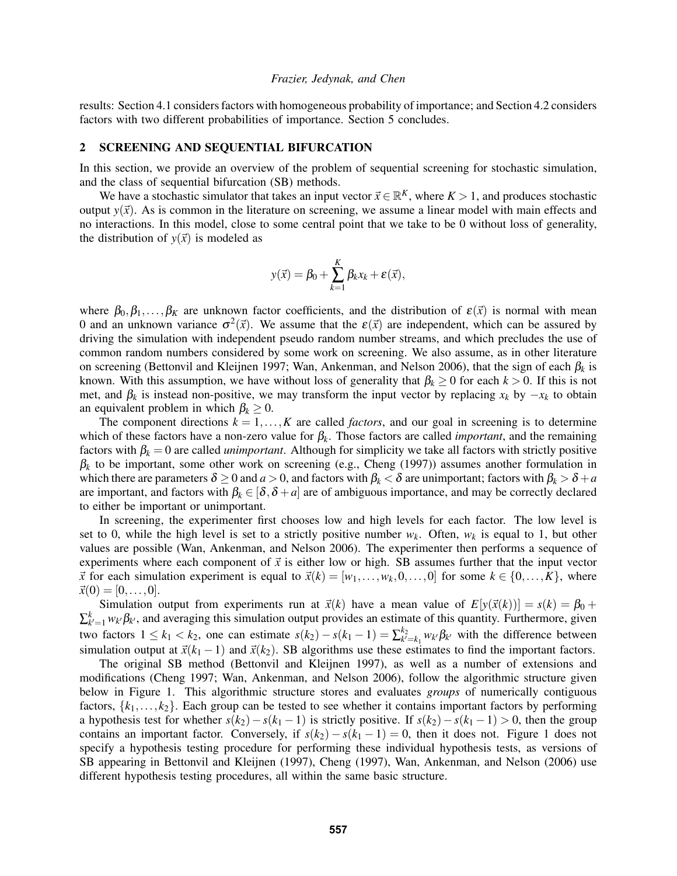results: Section 4.1 considers factors with homogeneous probability of importance; and Section 4.2 considers factors with two different probabilities of importance. Section 5 concludes.

#### 2 SCREENING AND SEQUENTIAL BIFURCATION

In this section, we provide an overview of the problem of sequential screening for stochastic simulation, and the class of sequential bifurcation (SB) methods.

We have a stochastic simulator that takes an input vector  $\vec{x} \in \mathbb{R}^K$ , where  $K > 1$ , and produces stochastic output  $y(\vec{x})$ . As is common in the literature on screening, we assume a linear model with main effects and no interactions. In this model, close to some central point that we take to be 0 without loss of generality, the distribution of  $y(\vec{x})$  is modeled as

$$
y(\vec{x}) = \beta_0 + \sum_{k=1}^K \beta_k x_k + \varepsilon(\vec{x}),
$$

where  $\beta_0, \beta_1, \ldots, \beta_K$  are unknown factor coefficients, and the distribution of  $\varepsilon(\vec{x})$  is normal with mean 0 and an unknown variance  $\sigma^2(\vec{x})$ . We assume that the  $\varepsilon(\vec{x})$  are independent, which can be assured by driving the simulation with independent pseudo random number streams, and which precludes the use of common random numbers considered by some work on screening. We also assume, as in other literature on screening (Bettonvil and Kleijnen 1997; Wan, Ankenman, and Nelson 2006), that the sign of each β*<sup>k</sup>* is known. With this assumption, we have without loss of generality that  $\beta_k \geq 0$  for each  $k > 0$ . If this is not met, and  $\beta_k$  is instead non-positive, we may transform the input vector by replacing  $x_k$  by  $-x_k$  to obtain an equivalent problem in which  $\beta_k \geq 0$ .

The component directions  $k = 1, ..., K$  are called *factors*, and our goal in screening is to determine which of these factors have a non-zero value for β*k*. Those factors are called *important*, and the remaining factors with  $\beta_k = 0$  are called *unimportant*. Although for simplicity we take all factors with strictly positive  $\beta_k$  to be important, some other work on screening (e.g., Cheng (1997)) assumes another formulation in which there are parameters  $\delta \ge 0$  and  $a > 0$ , and factors with  $\beta_k < \delta$  are unimportant; factors with  $\beta_k > \delta + a$ are important, and factors with  $\beta_k \in [\delta, \delta + a]$  are of ambiguous importance, and may be correctly declared to either be important or unimportant.

In screening, the experimenter first chooses low and high levels for each factor. The low level is set to 0, while the high level is set to a strictly positive number  $w_k$ . Often,  $w_k$  is equal to 1, but other values are possible (Wan, Ankenman, and Nelson 2006). The experimenter then performs a sequence of experiments where each component of  $\vec{x}$  is either low or high. SB assumes further that the input vector  $\vec{x}$  for each simulation experiment is equal to  $\vec{x}(k) = [w_1, \ldots, w_k, 0, \ldots, 0]$  for some  $k \in \{0, \ldots, K\}$ , where  $\vec{x}(0) = [0, \ldots, 0].$ 

Simulation output from experiments run at  $\vec{x}(k)$  have a mean value of  $E[y(\vec{x}(k))] = s(k) = \beta_0 + \beta_1 k^2$  $\sum_{k'=1}^{k} w_{k'} \beta_{k'}$ , and averaging this simulation output provides an estimate of this quantity. Furthermore, given two factors  $1 \le k_1 < k_2$ , one can estimate  $s(k_2) - s(k_1 - 1) = \sum_{k'=k_1}^{k_2} w_{k'} \beta_{k'}$  with the difference between simulation output at  $\vec{x}(k_1 - 1)$  and  $\vec{x}(k_2)$ . SB algorithms use these estimates to find the important factors.

The original SB method (Bettonvil and Kleijnen 1997), as well as a number of extensions and modifications (Cheng 1997; Wan, Ankenman, and Nelson 2006), follow the algorithmic structure given below in Figure 1. This algorithmic structure stores and evaluates *groups* of numerically contiguous factors,  $\{k_1, \ldots, k_2\}$ . Each group can be tested to see whether it contains important factors by performing a hypothesis test for whether  $s(k_2) - s(k_1 - 1)$  is strictly positive. If  $s(k_2) - s(k_1 - 1) > 0$ , then the group contains an important factor. Conversely, if  $s(k_2) - s(k_1 - 1) = 0$ , then it does not. Figure 1 does not specify a hypothesis testing procedure for performing these individual hypothesis tests, as versions of SB appearing in Bettonvil and Kleijnen (1997), Cheng (1997), Wan, Ankenman, and Nelson (2006) use different hypothesis testing procedures, all within the same basic structure.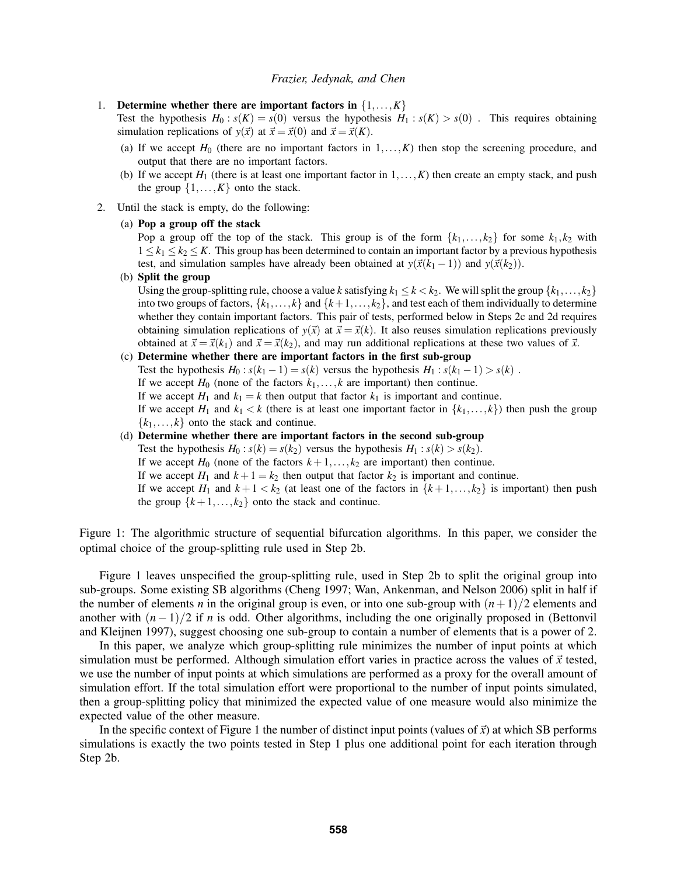#### 1. Determine whether there are important factors in  $\{1,\ldots,K\}$

Test the hypothesis  $H_0$ :  $s(K) = s(0)$  versus the hypothesis  $H_1$ :  $s(K) > s(0)$ . This requires obtaining simulation replications of  $y(\vec{x})$  at  $\vec{x} = \vec{x}(0)$  and  $\vec{x} = \vec{x}(K)$ .

- (a) If we accept  $H_0$  (there are no important factors in  $1,\ldots,K$ ) then stop the screening procedure, and output that there are no important factors.
- (b) If we accept  $H_1$  (there is at least one important factor in  $1, \ldots, K$ ) then create an empty stack, and push the group  $\{1, \ldots, K\}$  onto the stack.
- 2. Until the stack is empty, do the following:
	- (a) Pop a group off the stack

Pop a group off the top of the stack. This group is of the form  $\{k_1, \ldots, k_2\}$  for some  $k_1, k_2$  with  $1 \leq k_1 \leq k_2 \leq K$ . This group has been determined to contain an important factor by a previous hypothesis test, and simulation samples have already been obtained at  $y(\vec{x}(k_1 - 1))$  and  $y(\vec{x}(k_2))$ .

#### (b) Split the group

Using the group-splitting rule, choose a value *k* satisfying  $k_1 \leq k \lt k_2$ . We will split the group  $\{k_1, \ldots, k_2\}$ into two groups of factors,  $\{k_1,\ldots,k\}$  and  $\{k+1,\ldots,k_2\}$ , and test each of them individually to determine whether they contain important factors. This pair of tests, performed below in Steps 2c and 2d requires obtaining simulation replications of  $y(\vec{x})$  at  $\vec{x} = \vec{x}(k)$ . It also reuses simulation replications previously obtained at  $\vec{x} = \vec{x}(k_1)$  and  $\vec{x} = \vec{x}(k_2)$ , and may run additional replications at these two values of  $\vec{x}$ .

(c) Determine whether there are important factors in the first sub-group

Test the hypothesis  $H_0$ :  $s(k_1 - 1) = s(k)$  versus the hypothesis  $H_1$ :  $s(k_1 - 1) > s(k)$ .

If we accept  $H_0$  (none of the factors  $k_1, \ldots, k$  are important) then continue.

If we accept  $H_1$  and  $k_1 = k$  then output that factor  $k_1$  is important and continue.

If we accept  $H_1$  and  $k_1 < k$  (there is at least one important factor in  $\{k_1, \ldots, k\}$ ) then push the group  $\{k_1, \ldots, k\}$  onto the stack and continue.

- (d) Determine whether there are important factors in the second sub-group
	- Test the hypothesis  $H_0$ :  $s(k) = s(k_2)$  versus the hypothesis  $H_1$ :  $s(k) > s(k_2)$ .
		- If we accept  $H_0$  (none of the factors  $k+1,\ldots,k_2$  are important) then continue.
		- If we accept  $H_1$  and  $k+1 = k_2$  then output that factor  $k_2$  is important and continue.

If we accept  $H_1$  and  $k+1 < k_2$  (at least one of the factors in  $\{k+1,\ldots,k_2\}$  is important) then push the group  $\{k+1,\ldots,k_2\}$  onto the stack and continue.

Figure 1: The algorithmic structure of sequential bifurcation algorithms. In this paper, we consider the optimal choice of the group-splitting rule used in Step 2b.

Figure 1 leaves unspecified the group-splitting rule, used in Step 2b to split the original group into sub-groups. Some existing SB algorithms (Cheng 1997; Wan, Ankenman, and Nelson 2006) split in half if the number of elements *n* in the original group is even, or into one sub-group with  $(n+1)/2$  elements and another with (*n*−1)/2 if *n* is odd. Other algorithms, including the one originally proposed in (Bettonvil and Kleijnen 1997), suggest choosing one sub-group to contain a number of elements that is a power of 2.

In this paper, we analyze which group-splitting rule minimizes the number of input points at which simulation must be performed. Although simulation effort varies in practice across the values of  $\vec{x}$  tested, we use the number of input points at which simulations are performed as a proxy for the overall amount of simulation effort. If the total simulation effort were proportional to the number of input points simulated, then a group-splitting policy that minimized the expected value of one measure would also minimize the expected value of the other measure.

In the specific context of Figure 1 the number of distinct input points (values of  $\vec{x}$ ) at which SB performs simulations is exactly the two points tested in Step 1 plus one additional point for each iteration through Step 2b.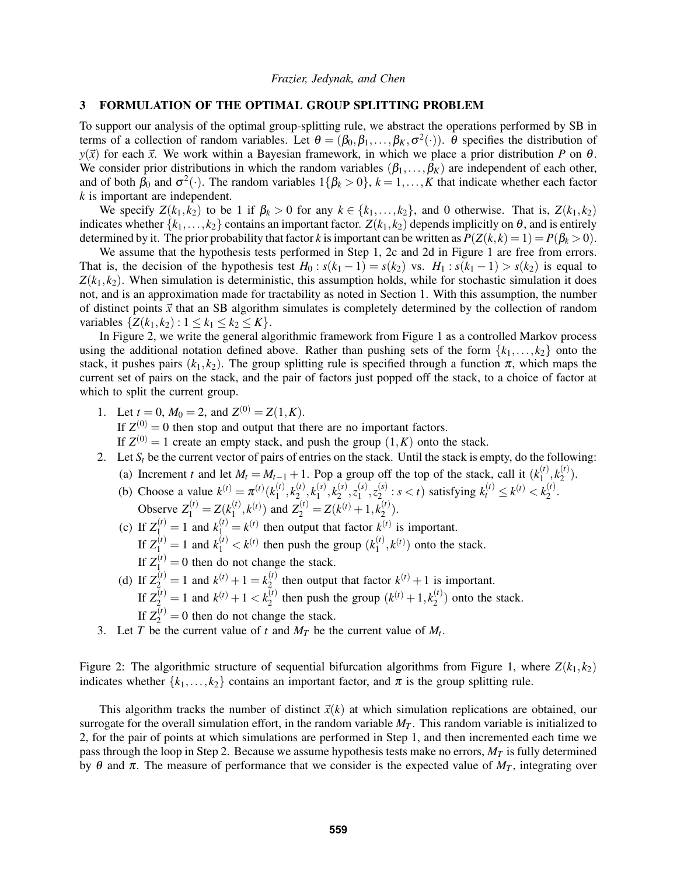### 3 FORMULATION OF THE OPTIMAL GROUP SPLITTING PROBLEM

To support our analysis of the optimal group-splitting rule, we abstract the operations performed by SB in terms of a collection of random variables. Let  $\theta = (\beta_0, \beta_1, ..., \beta_K, \sigma^2(\cdot))$ .  $\theta$  specifies the distribution of  $y(\vec{x})$  for each  $\vec{x}$ . We work within a Bayesian framework, in which we place a prior distribution *P* on  $\theta$ . We consider prior distributions in which the random variables  $(\beta_1, \ldots, \beta_K)$  are independent of each other, and of both  $\beta_0$  and  $\sigma^2(\cdot)$ . The random variables  $1\{\beta_k > 0\}$ ,  $k = 1, ..., K$  that indicate whether each factor *k* is important are independent.

We specify  $Z(k_1, k_2)$  to be 1 if  $\beta_k > 0$  for any  $k \in \{k_1, \ldots, k_2\}$ , and 0 otherwise. That is,  $Z(k_1, k_2)$ indicates whether  $\{k_1,\ldots,k_2\}$  contains an important factor.  $Z(k_1,k_2)$  depends implicitly on  $\theta$ , and is entirely determined by it. The prior probability that factor *k* is important can be written as  $P(Z(k, k) = 1) = P(\beta_k > 0)$ .

We assume that the hypothesis tests performed in Step 1, 2c and 2d in Figure 1 are free from errors. That is, the decision of the hypothesis test  $H_0$ :  $s(k_1 - 1) = s(k_2)$  vs.  $H_1$ :  $s(k_1 - 1) > s(k_2)$  is equal to  $Z(k_1, k_2)$ . When simulation is deterministic, this assumption holds, while for stochastic simulation it does not, and is an approximation made for tractability as noted in Section 1. With this assumption, the number of distinct points  $\vec{x}$  that an SB algorithm simulates is completely determined by the collection of random variables  $\{Z(k_1, k_2) : 1 \le k_1 \le k_2 \le K\}.$ 

In Figure 2, we write the general algorithmic framework from Figure 1 as a controlled Markov process using the additional notation defined above. Rather than pushing sets of the form  $\{k_1, \ldots, k_2\}$  onto the stack, it pushes pairs  $(k_1, k_2)$ . The group splitting rule is specified through a function  $\pi$ , which maps the current set of pairs on the stack, and the pair of factors just popped off the stack, to a choice of factor at which to split the current group.

- 1. Let  $t = 0$ ,  $M_0 = 2$ , and  $Z^{(0)} = Z(1, K)$ . If  $Z^{(0)} = 0$  then stop and output that there are no important factors. If  $Z^{(0)} = 1$  create an empty stack, and push the group  $(1, K)$  onto the stack.
- 2. Let  $S_t$  be the current vector of pairs of entries on the stack. Until the stack is empty, do the following:
	- (a) Increment *t* and let  $M_t = M_{t-1} + 1$ . Pop a group off the top of the stack, call it  $(k_1^{(t)})$  $\binom{(t)}{1}, k_2^{(t)}$  $\binom{l}{2}$ .
	- (b) Choose a value  $k^{(t)} = \pi^{(t)}(k_1^{(t)})$  $\mathbf{h}_1^{(t)}, \mathbf{k}_2^{(t)}$  $\binom{(t)}{2}, k_1^{(s)}$  $\binom{(s)}{1}, k_2^{(s)}$  $\binom{s}{2}$ ,  $z_1^{(s)}$  $\binom{(s)}{1}, \zeta_2^{(s)}$  $z^{(s)}_{2}$ : *s* < *t*) satisfying  $k^{(t)}_t \leq k^{(t)} < k^{(t)}_2$  $\frac{1}{2}$ . Observe  $Z_1^{(t)} = Z(k_1^{(t)})$  $\mathbf{Z}_1^{(t)}$ ,  $k^{(t)}$ ) and  $\mathbf{Z}_2^{(t)} = \mathbf{Z}(k^{(t)} + 1, k_2^{(t)})$  $\binom{l}{2}$ .
	- (c) If  $Z_1^{(t)} = 1$  and  $k_1^{(t)} = k^{(t)}$  then output that factor  $k^{(t)}$  is important. If  $Z_1^{(t)} = 1$  and  $k_1^{(t)} < k^{(t)}$  then push the group  $(k_1^{(t)}$  $\binom{t}{1}$ ,  $k^{(t)}$ ) onto the stack. If  $Z_1^{(t)} = 0$  then do not change the stack.
	- (d) If  $Z_2^{(t)} = 1$  and  $k^{(t)} + 1 = k_2^{(t)}$ <sup>(*t*)</sup> then output that factor  $k^{(t)} + 1$  is important. If  $Z_2^{(t)} = 1$  and  $k^{(t)} + 1 < k_2^{(t)}$  $\chi_2^{(t)}$  then push the group  $(k^{(t)} + 1, k_2^{(t)})$  $2^{(1)}$ ) onto the stack. If  $Z_2^{(t)} = 0$  then do not change the stack.
- 3. Let *T* be the current value of *t* and  $M_T$  be the current value of  $M_t$ .

Figure 2: The algorithmic structure of sequential bifurcation algorithms from Figure 1, where  $Z(k_1, k_2)$ indicates whether  $\{k_1, \ldots, k_2\}$  contains an important factor, and  $\pi$  is the group splitting rule.

This algorithm tracks the number of distinct  $\vec{x}(k)$  at which simulation replications are obtained, our surrogate for the overall simulation effort, in the random variable  $M_T$ . This random variable is initialized to 2, for the pair of points at which simulations are performed in Step 1, and then incremented each time we pass through the loop in Step 2. Because we assume hypothesis tests make no errors, *M<sup>T</sup>* is fully determined by θ and π. The measure of performance that we consider is the expected value of  $M_T$ , integrating over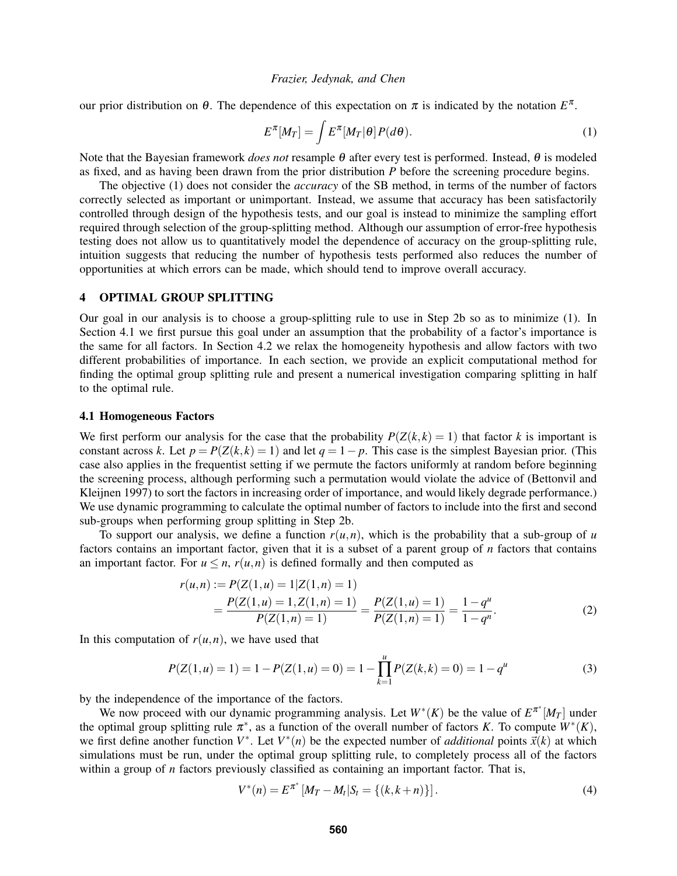our prior distribution on  $\theta$ . The dependence of this expectation on  $\pi$  is indicated by the notation  $E^{\pi}$ .

$$
E^{\pi}[M_T] = \int E^{\pi}[M_T|\theta] P(d\theta).
$$
 (1)

Note that the Bayesian framework *does not* resample θ after every test is performed. Instead, θ is modeled as fixed, and as having been drawn from the prior distribution *P* before the screening procedure begins.

The objective (1) does not consider the *accuracy* of the SB method, in terms of the number of factors correctly selected as important or unimportant. Instead, we assume that accuracy has been satisfactorily controlled through design of the hypothesis tests, and our goal is instead to minimize the sampling effort required through selection of the group-splitting method. Although our assumption of error-free hypothesis testing does not allow us to quantitatively model the dependence of accuracy on the group-splitting rule, intuition suggests that reducing the number of hypothesis tests performed also reduces the number of opportunities at which errors can be made, which should tend to improve overall accuracy.

### 4 OPTIMAL GROUP SPLITTING

Our goal in our analysis is to choose a group-splitting rule to use in Step 2b so as to minimize (1). In Section 4.1 we first pursue this goal under an assumption that the probability of a factor's importance is the same for all factors. In Section 4.2 we relax the homogeneity hypothesis and allow factors with two different probabilities of importance. In each section, we provide an explicit computational method for finding the optimal group splitting rule and present a numerical investigation comparing splitting in half to the optimal rule.

### 4.1 Homogeneous Factors

We first perform our analysis for the case that the probability  $P(Z(k, k) = 1)$  that factor *k* is important is constant across *k*. Let  $p = P(Z(k, k) = 1)$  and let  $q = 1 - p$ . This case is the simplest Bayesian prior. (This case also applies in the frequentist setting if we permute the factors uniformly at random before beginning the screening process, although performing such a permutation would violate the advice of (Bettonvil and Kleijnen 1997) to sort the factors in increasing order of importance, and would likely degrade performance.) We use dynamic programming to calculate the optimal number of factors to include into the first and second sub-groups when performing group splitting in Step 2b.

To support our analysis, we define a function  $r(u, n)$ , which is the probability that a sub-group of  $u$ factors contains an important factor, given that it is a subset of a parent group of *n* factors that contains an important factor. For  $u \le n$ ,  $r(u, n)$  is defined formally and then computed as

$$
r(u,n) := P(Z(1,u) = 1|Z(1,n) = 1)
$$
  
= 
$$
\frac{P(Z(1,u) = 1, Z(1,n) = 1)}{P(Z(1,n) = 1)} = \frac{P(Z(1,u) = 1)}{P(Z(1,n) = 1)} = \frac{1 - q^u}{1 - q^n}.
$$
 (2)

In this computation of  $r(u, n)$ , we have used that

$$
P(Z(1, u) = 1) = 1 - P(Z(1, u) = 0) = 1 - \prod_{k=1}^{u} P(Z(k, k) = 0) = 1 - q^u
$$
\n(3)

by the independence of the importance of the factors.

We now proceed with our dynamic programming analysis. Let  $W^*(K)$  be the value of  $E^{\pi^*}[M_T]$  under the optimal group splitting rule  $\pi^*$ , as a function of the overall number of factors *K*. To compute  $W^*(K)$ , we first define another function  $V^*$ . Let  $V^*(n)$  be the expected number of *additional* points  $\vec{x}(k)$  at which simulations must be run, under the optimal group splitting rule, to completely process all of the factors within a group of *n* factors previously classified as containing an important factor. That is,

$$
V^*(n) = E^{\pi^*} \left[ M_T - M_t | S_t = \{(k, k+n)\} \right]. \tag{4}
$$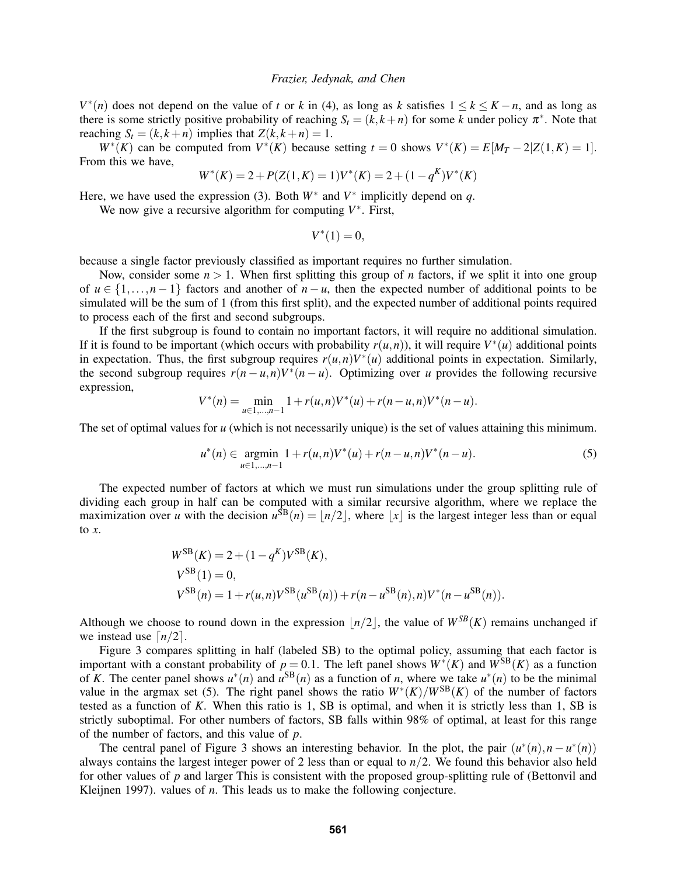$V^*(n)$  does not depend on the value of *t* or *k* in (4), as long as *k* satisfies  $1 \leq k \leq K - n$ , and as long as there is some strictly positive probability of reaching  $S_t = (k, k+n)$  for some *k* under policy  $\pi^*$ . Note that reaching  $S_t = (k, k+n)$  implies that  $Z(k, k+n) = 1$ .

 $W^*(K)$  can be computed from  $V^*(K)$  because setting  $t = 0$  shows  $V^*(K) = E[M_T - 2|Z(1,K) = 1]$ . From this we have,

$$
W^*(K) = 2 + P(Z(1,K) = 1)V^*(K) = 2 + (1 - q^K)V^*(K)
$$

Here, we have used the expression (3). Both  $W^*$  and  $V^*$  implicitly depend on *q*.

We now give a recursive algorithm for computing *V* ∗ . First,

 $V^*(1) = 0,$ 

because a single factor previously classified as important requires no further simulation.

Now, consider some  $n > 1$ . When first splitting this group of *n* factors, if we split it into one group of  $u \in \{1, \ldots, n-1\}$  factors and another of  $n-u$ , then the expected number of additional points to be simulated will be the sum of 1 (from this first split), and the expected number of additional points required to process each of the first and second subgroups.

If the first subgroup is found to contain no important factors, it will require no additional simulation. If it is found to be important (which occurs with probability  $r(u,n)$ ), it will require  $V^*(u)$  additional points in expectation. Thus, the first subgroup requires  $r(u,n)V^*(u)$  additional points in expectation. Similarly, the second subgroup requires  $r(n - u, n)V^*(n - u)$ . Optimizing over *u* provides the following recursive expression,

$$
V^*(n) = \min_{u \in 1, \dots, n-1} 1 + r(u, n)V^*(u) + r(n-u, n)V^*(n-u).
$$

The set of optimal values for *u* (which is not necessarily unique) is the set of values attaining this minimum.

$$
u^*(n) \in \underset{u \in 1, \dots, n-1}{\text{argmin}} 1 + r(u, n)V^*(u) + r(n - u, n)V^*(n - u). \tag{5}
$$

The expected number of factors at which we must run simulations under the group splitting rule of dividing each group in half can be computed with a similar recursive algorithm, where we replace the maximization over *u* with the decision  $u^{SB}(n) = \lfloor n/2 \rfloor$ , where  $\lfloor x \rfloor$  is the largest integer less than or equal to  $\dot{x}$ .

$$
W^{SB}(K) = 2 + (1 - q^{K})V^{SB}(K),
$$
  
\n
$$
V^{SB}(1) = 0,
$$
  
\n
$$
V^{SB}(n) = 1 + r(u, n)V^{SB}(u^{SB}(n)) + r(n - u^{SB}(n), n)V^{*}(n - u^{SB}(n)).
$$

Although we choose to round down in the expression  $n/2$ , the value of  $W^{SB}(K)$  remains unchanged if we instead use  $\lceil n/2 \rceil$ .

Figure 3 compares splitting in half (labeled SB) to the optimal policy, assuming that each factor is important with a constant probability of  $p = 0.1$ . The left panel shows  $W^*(K)$  and  $W^{SB}(K)$  as a function of *K*. The center panel shows  $u^*(n)$  and  $u^{SB}(n)$  as a function of *n*, where we take  $u^*(n)$  to be the minimal value in the argmax set (5). The right panel shows the ratio  $W^*(K)/W^{SB}(K)$  of the number of factors tested as a function of *K*. When this ratio is 1, SB is optimal, and when it is strictly less than 1, SB is strictly suboptimal. For other numbers of factors, SB falls within 98% of optimal, at least for this range of the number of factors, and this value of *p*.

The central panel of Figure 3 shows an interesting behavior. In the plot, the pair  $(u^*(n), n - u^*(n))$ always contains the largest integer power of 2 less than or equal to *n*/2. We found this behavior also held for other values of *p* and larger This is consistent with the proposed group-splitting rule of (Bettonvil and Kleijnen 1997). values of *n*. This leads us to make the following conjecture.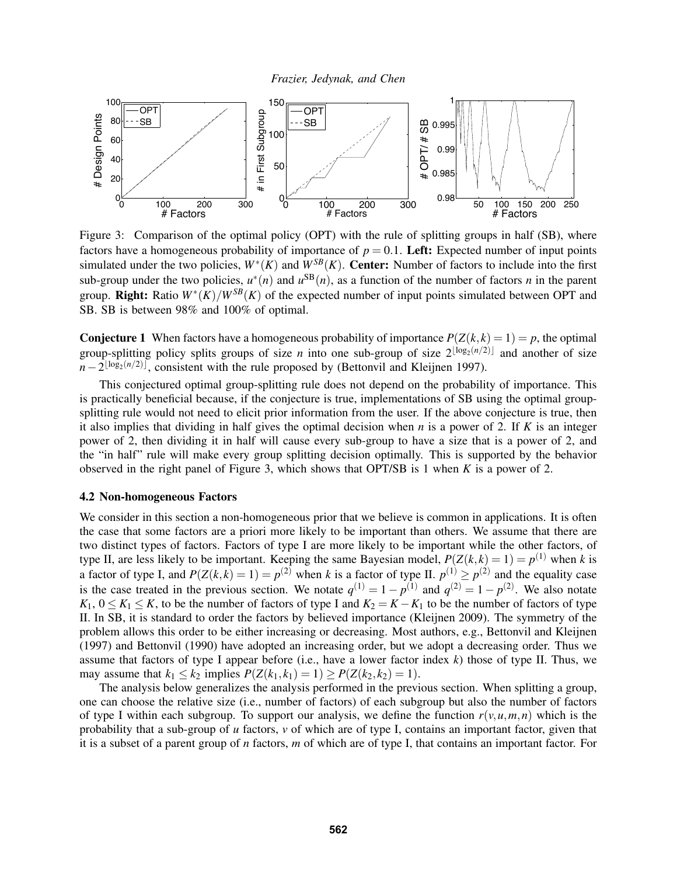

Figure 3: Comparison of the optimal policy (OPT) with the rule of splitting groups in half (SB), where factors have a homogeneous probability of importance of  $p = 0.1$ . Left: Expected number of input points simulated under the two policies,  $W^*(K)$  and  $W^{SB}(K)$ . Center: Number of factors to include into the first sub-group under the two policies,  $u^*(n)$  and  $u^{SB}(n)$ , as a function of the number of factors *n* in the parent group. **Right:** Ratio  $W^*(K)/W^{SB}(K)$  of the expected number of input points simulated between OPT and SB. SB is between 98% and 100% of optimal.

**Conjecture 1** When factors have a homogeneous probability of importance  $P(Z(k, k) = 1) = p$ , the optimal group-splitting policy splits groups of size *n* into one sub-group of size  $2^{\lfloor \log_2(n/2) \rfloor}$  and another of size  $n-2^{\lfloor \log_2(n/2) \rfloor}$ , consistent with the rule proposed by (Bettonvil and Kleijnen 1997).

This conjectured optimal group-splitting rule does not depend on the probability of importance. This is practically beneficial because, if the conjecture is true, implementations of SB using the optimal groupsplitting rule would not need to elicit prior information from the user. If the above conjecture is true, then it also implies that dividing in half gives the optimal decision when *n* is a power of 2. If *K* is an integer power of 2, then dividing it in half will cause every sub-group to have a size that is a power of 2, and the "in half" rule will make every group splitting decision optimally. This is supported by the behavior observed in the right panel of Figure 3, which shows that OPT/SB is 1 when *K* is a power of 2.

### 4.2 Non-homogeneous Factors

We consider in this section a non-homogeneous prior that we believe is common in applications. It is often the case that some factors are a priori more likely to be important than others. We assume that there are two distinct types of factors. Factors of type I are more likely to be important while the other factors, of type II, are less likely to be important. Keeping the same Bayesian model,  $P(Z(k, k) = 1) = p^{(1)}$  when *k* is a factor of type I, and  $P(Z(k, k) = 1) = p^{(2)}$  when *k* is a factor of type II.  $p^{(1)} \ge p^{(2)}$  and the equality case is the case treated in the previous section. We notate  $q^{(1)} = 1 - p^{(1)}$  and  $q^{(2)} = 1 - p^{(2)}$ . We also notate  $K_1$ ,  $0 \le K_1 \le K$ , to be the number of factors of type I and  $K_2 = K - K_1$  to be the number of factors of type II. In SB, it is standard to order the factors by believed importance (Kleijnen 2009). The symmetry of the problem allows this order to be either increasing or decreasing. Most authors, e.g., Bettonvil and Kleijnen (1997) and Bettonvil (1990) have adopted an increasing order, but we adopt a decreasing order. Thus we assume that factors of type I appear before (i.e., have a lower factor index *k*) those of type II. Thus, we may assume that  $k_1 \leq k_2$  implies  $P(Z(k_1, k_1) = 1) \geq P(Z(k_2, k_2) = 1)$ .

The analysis below generalizes the analysis performed in the previous section. When splitting a group, one can choose the relative size (i.e., number of factors) of each subgroup but also the number of factors of type I within each subgroup. To support our analysis, we define the function  $r(v, u, m, n)$  which is the probability that a sub-group of *u* factors, *v* of which are of type I, contains an important factor, given that it is a subset of a parent group of *n* factors, *m* of which are of type I, that contains an important factor. For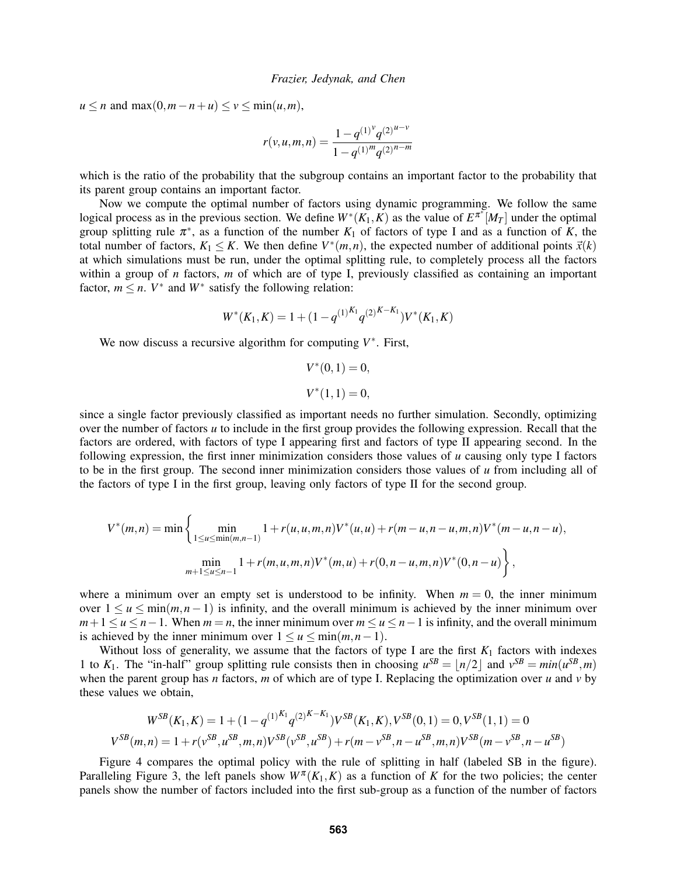$u \le n$  and  $\max(0, m-n+u) \le v \le \min(u,m)$ ,

$$
r(v, u, m, n) = \frac{1 - q^{(1)^{\nu}} q^{(2)^{u-\nu}}}{1 - q^{(1)^m} q^{(2)^{n-m}}}
$$

which is the ratio of the probability that the subgroup contains an important factor to the probability that its parent group contains an important factor.

Now we compute the optimal number of factors using dynamic programming. We follow the same logical process as in the previous section. We define  $W^*(K_1,K)$  as the value of  $E^{\pi^*}[M_T]$  under the optimal group splitting rule  $\pi^*$ , as a function of the number  $K_1$  of factors of type I and as a function of  $K$ , the total number of factors,  $K_1 \leq K$ . We then define  $V^*(m,n)$ , the expected number of additional points  $\vec{x}(k)$ at which simulations must be run, under the optimal splitting rule, to completely process all the factors within a group of *n* factors, *m* of which are of type I, previously classified as containing an important factor,  $m \le n$ .  $V^*$  and  $W^*$  satisfy the following relation:

$$
W^*(K_1, K) = 1 + (1 - q^{(1)K_1}q^{(2)K - K_1})V^*(K_1, K)
$$

We now discuss a recursive algorithm for computing  $V^*$ . First,

$$
V^*(0,1) = 0,
$$
  

$$
V^*(1,1) = 0,
$$

since a single factor previously classified as important needs no further simulation. Secondly, optimizing over the number of factors *u* to include in the first group provides the following expression. Recall that the factors are ordered, with factors of type I appearing first and factors of type II appearing second. In the following expression, the first inner minimization considers those values of *u* causing only type I factors to be in the first group. The second inner minimization considers those values of *u* from including all of the factors of type I in the first group, leaving only factors of type II for the second group.

$$
V^*(m,n) = \min\left\{\min_{1 \le u \le \min(m,n-1)} 1 + r(u,u,m,n)V^*(u,u) + r(m-u,n-u,m,n)V^*(m-u,n-u),\right.\n\min_{m+1 \le u \le n-1} 1 + r(m,u,m,n)V^*(m,u) + r(0,n-u,m,n)V^*(0,n-u)\right\},
$$

where a minimum over an empty set is understood to be infinity. When  $m = 0$ , the inner minimum over  $1 \le u \le \min(m, n-1)$  is infinity, and the overall minimum is achieved by the inner minimum over  $m+1 \le u \le n-1$ . When  $m = n$ , the inner minimum over  $m \le u \le n-1$  is infinity, and the overall minimum is achieved by the inner minimum over  $1 \le u \le \min(m, n-1)$ .

Without loss of generality, we assume that the factors of type I are the first  $K_1$  factors with indexes 1 to  $K_1$ . The "in-half" group splitting rule consists then in choosing  $u^{SB} = \lfloor n/2 \rfloor$  and  $v^{SB} = min(u^{SB}, m)$ when the parent group has *n* factors, *m* of which are of type I. Replacing the optimization over *u* and *v* by these values we obtain,

$$
W^{SB}(K_1, K) = 1 + (1 - q^{(1)K_1}q^{(2)K - K_1})V^{SB}(K_1, K), V^{SB}(0, 1) = 0, V^{SB}(1, 1) = 0
$$
  

$$
V^{SB}(m, n) = 1 + r(v^{SB}, u^{SB}, m, n)V^{SB}(v^{SB}, u^{SB}) + r(m - v^{SB}, n - u^{SB}, m, n)V^{SB}(m - v^{SB}, n - u^{SB})
$$

Figure 4 compares the optimal policy with the rule of splitting in half (labeled SB in the figure). Paralleling Figure 3, the left panels show  $W^{\pi}(K_1, K)$  as a function of *K* for the two policies; the center panels show the number of factors included into the first sub-group as a function of the number of factors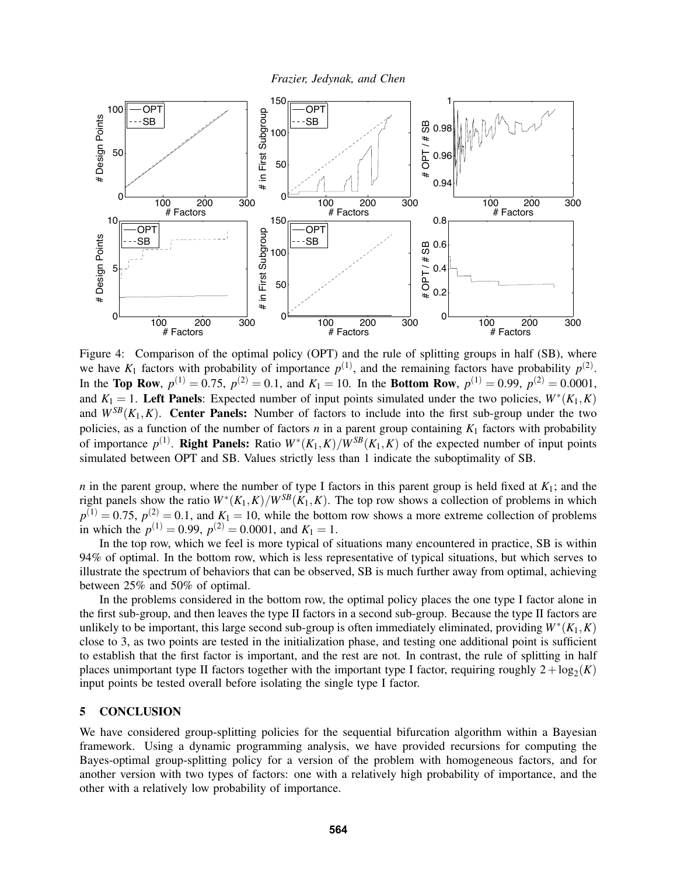



Figure 4: Comparison of the optimal policy (OPT) and the rule of splitting groups in half (SB), where we have  $K_1$  factors with probability of importance  $p^{(1)}$ , and the remaining factors have probability  $p^{(2)}$ . In the Top Row,  $p^{(1)} = 0.75$ ,  $p^{(2)} = 0.1$ , and  $K_1 = 10$ . In the Bottom Row,  $p^{(1)} = 0.99$ ,  $p^{(2)} = 0.0001$ , and  $K_1 = 1$ . Left Panels: Expected number of input points simulated under the two policies,  $W^*(K_1, K)$ and  $W^{SB}(K_1,K)$ . Center Panels: Number of factors to include into the first sub-group under the two policies, as a function of the number of factors  $n$  in a parent group containing  $K_1$  factors with probability of importance  $p^{(1)}$ . Right Panels: Ratio  $W^*(K_1, K)/W^{SB}(K_1, K)$  of the expected number of input points simulated between OPT and SB. Values strictly less than 1 indicate the suboptimality of SB.

*n* in the parent group, where the number of type I factors in this parent group is held fixed at *K*1; and the right panels show the ratio  $W^*(K_1, K)/W^{SB}(K_1, K)$ . The top row shows a collection of problems in which  $p^{(1)} = 0.75$ ,  $p^{(2)} = 0.1$ , and  $K_1 = 10$ , while the bottom row shows a more extreme collection of problems in which the  $p^{(1)} = 0.99$ ,  $p^{(2)} = 0.0001$ , and  $K_1 = 1$ .

In the top row, which we feel is more typical of situations many encountered in practice, SB is within 94% of optimal. In the bottom row, which is less representative of typical situations, but which serves to illustrate the spectrum of behaviors that can be observed, SB is much further away from optimal, achieving between 25% and 50% of optimal.

In the problems considered in the bottom row, the optimal policy places the one type I factor alone in the first sub-group, and then leaves the type II factors in a second sub-group. Because the type II factors are unlikely to be important, this large second sub-group is often immediately eliminated, providing  $W^*(K_1, K)$ close to 3, as two points are tested in the initialization phase, and testing one additional point is sufficient to establish that the first factor is important, and the rest are not. In contrast, the rule of splitting in half places unimportant type II factors together with the important type I factor, requiring roughly  $2 + \log_2(K)$ input points be tested overall before isolating the single type I factor.

# 5 CONCLUSION

We have considered group-splitting policies for the sequential bifurcation algorithm within a Bayesian framework. Using a dynamic programming analysis, we have provided recursions for computing the Bayes-optimal group-splitting policy for a version of the problem with homogeneous factors, and for another version with two types of factors: one with a relatively high probability of importance, and the other with a relatively low probability of importance.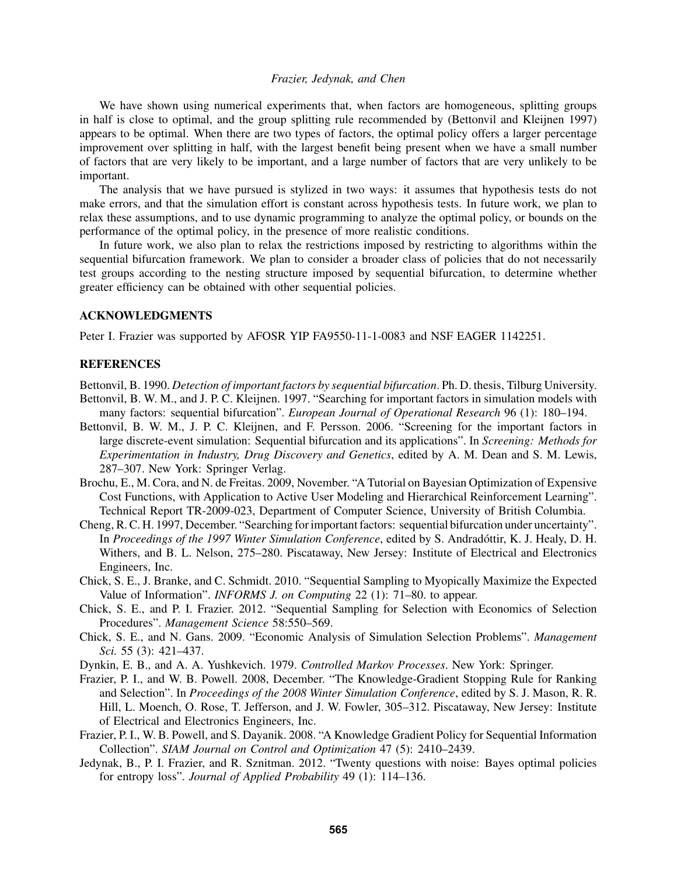We have shown using numerical experiments that, when factors are homogeneous, splitting groups in half is close to optimal, and the group splitting rule recommended by (Bettonvil and Kleijnen 1997) appears to be optimal. When there are two types of factors, the optimal policy offers a larger percentage improvement over splitting in half, with the largest benefit being present when we have a small number of factors that are very likely to be important, and a large number of factors that are very unlikely to be important.

The analysis that we have pursued is stylized in two ways: it assumes that hypothesis tests do not make errors, and that the simulation effort is constant across hypothesis tests. In future work, we plan to relax these assumptions, and to use dynamic programming to analyze the optimal policy, or bounds on the performance of the optimal policy, in the presence of more realistic conditions.

In future work, we also plan to relax the restrictions imposed by restricting to algorithms within the sequential bifurcation framework. We plan to consider a broader class of policies that do not necessarily test groups according to the nesting structure imposed by sequential bifurcation, to determine whether greater efficiency can be obtained with other sequential policies.

### ACKNOWLEDGMENTS

Peter I. Frazier was supported by AFOSR YIP FA9550-11-1-0083 and NSF EAGER 1142251.

# **REFERENCES**

Bettonvil, B. 1990. *Detection of important factors by sequential bifurcation*. Ph. D. thesis, Tilburg University.

- Bettonvil, B. W. M., and J. P. C. Kleijnen. 1997. "Searching for important factors in simulation models with many factors: sequential bifurcation". *European Journal of Operational Research* 96 (1): 180–194.
- Bettonvil, B. W. M., J. P. C. Kleijnen, and F. Persson. 2006. "Screening for the important factors in large discrete-event simulation: Sequential bifurcation and its applications". In *Screening: Methods for Experimentation in Industry, Drug Discovery and Genetics*, edited by A. M. Dean and S. M. Lewis, 287–307. New York: Springer Verlag.
- Brochu, E., M. Cora, and N. de Freitas. 2009, November. "A Tutorial on Bayesian Optimization of Expensive Cost Functions, with Application to Active User Modeling and Hierarchical Reinforcement Learning". Technical Report TR-2009-023, Department of Computer Science, University of British Columbia.
- Cheng, R. C. H. 1997, December. "Searching for important factors: sequential bifurcation under uncertainty". In *Proceedings of the 1997 Winter Simulation Conference*, edited by S. Andradottir, K. J. Healy, D. H. ´ Withers, and B. L. Nelson, 275–280. Piscataway, New Jersey: Institute of Electrical and Electronics Engineers, Inc.
- Chick, S. E., J. Branke, and C. Schmidt. 2010. "Sequential Sampling to Myopically Maximize the Expected Value of Information". *INFORMS J. on Computing* 22 (1): 71–80. to appear.
- Chick, S. E., and P. I. Frazier. 2012. "Sequential Sampling for Selection with Economics of Selection Procedures". *Management Science* 58:550–569.
- Chick, S. E., and N. Gans. 2009. "Economic Analysis of Simulation Selection Problems". *Management Sci.* 55 (3): 421–437.
- Dynkin, E. B., and A. A. Yushkevich. 1979. *Controlled Markov Processes*. New York: Springer.
- Frazier, P. I., and W. B. Powell. 2008, December. "The Knowledge-Gradient Stopping Rule for Ranking and Selection". In *Proceedings of the 2008 Winter Simulation Conference*, edited by S. J. Mason, R. R. Hill, L. Moench, O. Rose, T. Jefferson, and J. W. Fowler, 305–312. Piscataway, New Jersey: Institute of Electrical and Electronics Engineers, Inc.
- Frazier, P. I., W. B. Powell, and S. Dayanik. 2008. "A Knowledge Gradient Policy for Sequential Information Collection". *SIAM Journal on Control and Optimization* 47 (5): 2410–2439.
- Jedynak, B., P. I. Frazier, and R. Sznitman. 2012. "Twenty questions with noise: Bayes optimal policies for entropy loss". *Journal of Applied Probability* 49 (1): 114–136.